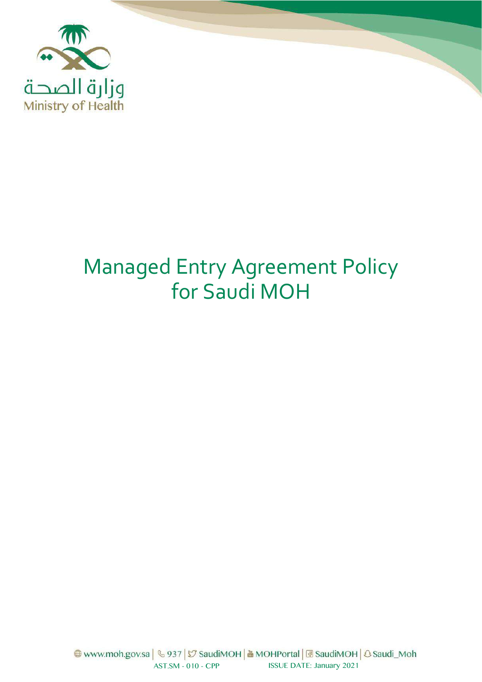

# Managed Entry Agreement Policy for Saudi MOH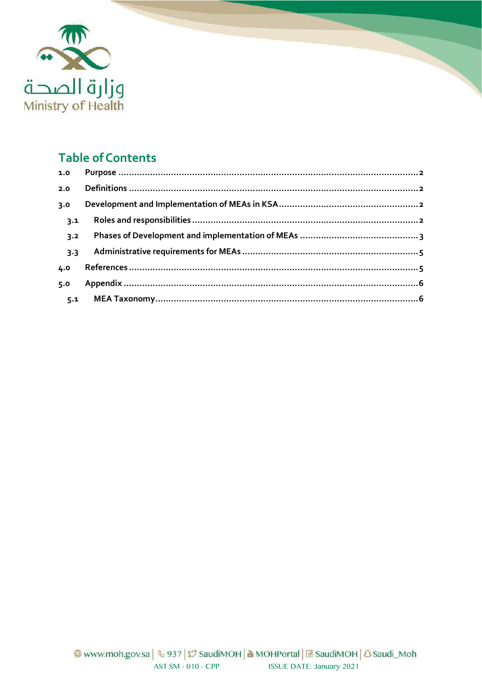

## **Table of Contents**

| 1.0 |  |
|-----|--|
| 2.0 |  |
| 3.0 |  |
| 3.1 |  |
| 3.2 |  |
| 3.3 |  |
| 4.0 |  |
| 5.0 |  |
| 5.1 |  |
|     |  |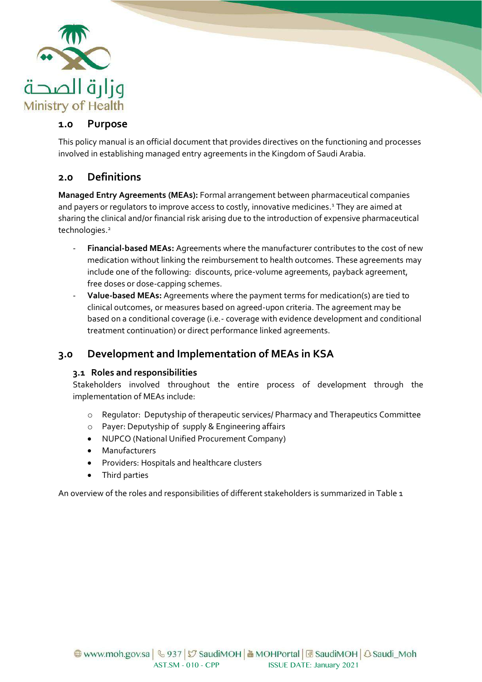

#### <span id="page-2-0"></span>**1.0 Purpose**

This policy manual is an official document that provides directives on the functioning and processes involved in establishing managed entry agreements in the Kingdom of Saudi Arabia.

## <span id="page-2-1"></span>**2.0 Definitions**

**Managed Entry Agreements (MEAs):** Formal arrangement between pharmaceutical companies and payers or regulators to improve access to costly, innovative medicines.<sup>1</sup> They are aimed at sharing the clinical and/or financial risk arising due to the introduction of expensive pharmaceutical technologies.<sup>2</sup>

- **Financial-based MEAs:** Agreements where the manufacturer contributes to the cost of new medication without linking the reimbursement to health outcomes. These agreements may include one of the following: discounts, price-volume agreements, payback agreement, free doses or dose-capping schemes.
- **Value-based MEAs:** Agreements where the payment terms for medication(s) are tied to clinical outcomes, or measures based on agreed-upon criteria. The agreement may be based on a conditional coverage (i.e.- coverage with evidence development and conditional treatment continuation) or direct performance linked agreements.

## <span id="page-2-2"></span>**3.0 Development and Implementation of MEAs in KSA**

#### <span id="page-2-3"></span>**3.1 Roles and responsibilities**

Stakeholders involved throughout the entire process of development through the implementation of MEAs include:

- o Regulator: Deputyship of therapeutic services/ Pharmacy and Therapeutics Committee
- o Payer: Deputyship of supply & Engineering affairs
- NUPCO (National Unified Procurement Company)
- **Manufacturers**
- Providers: Hospitals and healthcare clusters
- Third parties

An overview of the roles and responsibilities of different stakeholders is summarized in Table 1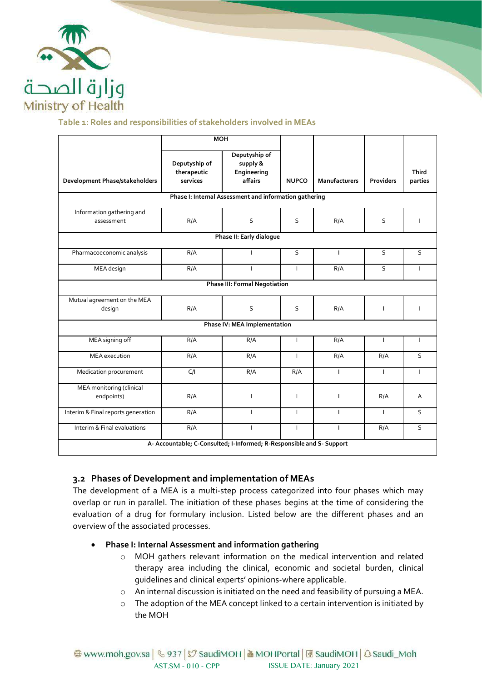

#### **Table 1: Roles and responsibilities of stakeholders involved in MEAs**

|                                                                       | <b>MOH</b>                               |                                                     |              |                      |                  |                         |  |  |  |
|-----------------------------------------------------------------------|------------------------------------------|-----------------------------------------------------|--------------|----------------------|------------------|-------------------------|--|--|--|
| Development Phase/stakeholders                                        | Deputyship of<br>therapeutic<br>services | Deputyship of<br>supply &<br>Engineering<br>affairs | <b>NUPCO</b> | <b>Manufacturers</b> | <b>Providers</b> | <b>Third</b><br>parties |  |  |  |
| Phase I: Internal Assessment and information gathering                |                                          |                                                     |              |                      |                  |                         |  |  |  |
| Information gathering and<br>assessment                               | R/A                                      | S                                                   | S            | R/A                  | S                | T                       |  |  |  |
| Phase II: Early dialogue                                              |                                          |                                                     |              |                      |                  |                         |  |  |  |
| Pharmacoeconomic analysis                                             | R/A                                      |                                                     | S            | $\mathbf{I}$         | S                | S                       |  |  |  |
| MEA design                                                            | R/A                                      | $\mathbf{I}$                                        | T            | R/A                  | S                | $\mathbf{I}$            |  |  |  |
| Phase III: Formal Negotiation                                         |                                          |                                                     |              |                      |                  |                         |  |  |  |
| Mutual agreement on the MEA<br>design                                 | R/A                                      | S                                                   | S            | R/A                  |                  | T                       |  |  |  |
| Phase IV: MEA Implementation                                          |                                          |                                                     |              |                      |                  |                         |  |  |  |
| MEA signing off                                                       | R/A                                      | R/A                                                 | $\mathbf{I}$ | R/A                  | $\mathbf{I}$     | $\mathbf{I}$            |  |  |  |
| <b>MEA</b> execution                                                  | R/A                                      | R/A                                                 | $\mathbf{I}$ | R/A                  | R/A              | S                       |  |  |  |
| Medication procurement                                                | C/I                                      | R/A                                                 | R/A          | $\mathbf{I}$         | $\mathbf{I}$     | $\mathbf{I}$            |  |  |  |
| MEA monitoring (clinical<br>endpoints)                                | R/A                                      | $\mathsf{I}$                                        | $\mathsf{I}$ | $\overline{1}$       | R/A              | A                       |  |  |  |
| Interim & Final reports generation                                    | R/A                                      | T                                                   | $\mathbf{I}$ | $\mathbf{I}$         | $\mathbf{I}$     | S                       |  |  |  |
| Interim & Final evaluations                                           | R/A                                      | ı                                                   | I            | T                    | R/A              | S                       |  |  |  |
| A- Accountable; C-Consulted; I-Informed; R-Responsible and S- Support |                                          |                                                     |              |                      |                  |                         |  |  |  |

#### <span id="page-3-0"></span>**3.2 Phases of Development and implementation of MEAs**

The development of a MEA is a multi-step process categorized into four phases which may overlap or run in parallel. The initiation of these phases begins at the time of considering the evaluation of a drug for formulary inclusion. Listed below are the different phases and an overview of the associated processes.

#### • **Phase I: Internal Assessment and information gathering**

- o MOH gathers relevant information on the medical intervention and related therapy area including the clinical, economic and societal burden, clinical guidelines and clinical experts' opinions-where applicable.
- o An internal discussion is initiated on the need and feasibility of pursuing a MEA.
- o The adoption of the MEA concept linked to a certain intervention is initiated by the MOH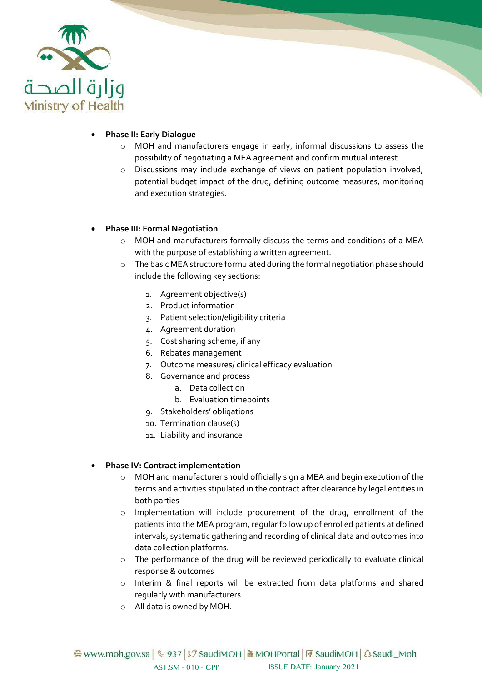

#### • **Phase II: Early Dialogue**

- o MOH and manufacturers engage in early, informal discussions to assess the possibility of negotiating a MEA agreement and confirm mutual interest.
- o Discussions may include exchange of views on patient population involved, potential budget impact of the drug, defining outcome measures, monitoring and execution strategies.

#### • **Phase III: Formal Negotiation**

- o MOH and manufacturers formally discuss the terms and conditions of a MEA with the purpose of establishing a written agreement.
- o The basic MEA structure formulated during the formal negotiation phase should include the following key sections:
	- 1. Agreement objective(s)
	- 2. Product information
	- 3. Patient selection/eligibility criteria
	- 4. Agreement duration
	- 5. Cost sharing scheme, if any
	- 6. Rebates management
	- 7. Outcome measures/ clinical efficacy evaluation
	- 8. Governance and process
		- a. Data collection
		- b. Evaluation timepoints
	- 9. Stakeholders' obligations
	- 10. Termination clause(s)
	- 11. Liability and insurance

#### • **Phase IV: Contract implementation**

- o MOH and manufacturer should officially sign a MEA and begin execution of the terms and activities stipulated in the contract after clearance by legal entities in both parties
- o Implementation will include procurement of the drug, enrollment of the patients into the MEA program, regular follow up of enrolled patients at defined intervals, systematic gathering and recording of clinical data and outcomes into data collection platforms.
- o The performance of the drug will be reviewed periodically to evaluate clinical response & outcomes
- o Interim & final reports will be extracted from data platforms and shared regularly with manufacturers.
- o All data is owned by MOH.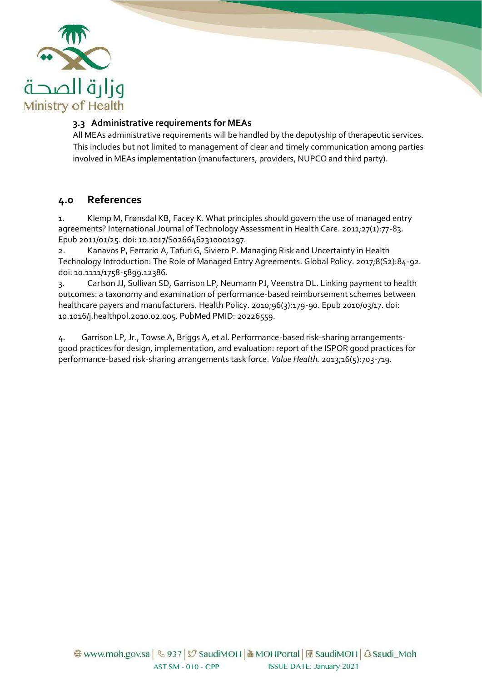

#### <span id="page-5-0"></span>**3.3 Administrative requirements for MEAs**

All MEAs administrative requirements will be handled by the deputyship of therapeutic services. This includes but not limited to management of clear and timely communication among parties involved in MEAs implementation (manufacturers, providers, NUPCO and third party).

### <span id="page-5-1"></span>**4.0 References**

1. Klemp M, Frønsdal KB, Facey K. What principles should govern the use of managed entry agreements? International Journal of Technology Assessment in Health Care. 2011;27(1):77-83. Epub 2011/01/25. doi: 10.1017/S0266462310001297.

2. Kanavos P, Ferrario A, Tafuri G, Siviero P. Managing Risk and Uncertainty in Health Technology Introduction: The Role of Managed Entry Agreements. Global Policy. 2017;8(S2):84-92. doi: 10.1111/1758-5899.12386.

3. Carlson JJ, Sullivan SD, Garrison LP, Neumann PJ, Veenstra DL. Linking payment to health outcomes: a taxonomy and examination of performance-based reimbursement schemes between healthcare payers and manufacturers. Health Policy. 2010;96(3):179-90. Epub 2010/03/17. doi: 10.1016/j.healthpol.2010.02.005. PubMed PMID: 20226559.

4. Garrison LP, Jr., Towse A, Briggs A, et al. Performance-based risk-sharing arrangementsgood practices for design, implementation, and evaluation: report of the ISPOR good practices for performance-based risk-sharing arrangements task force. *Value Health.* 2013;16(5):703-719.